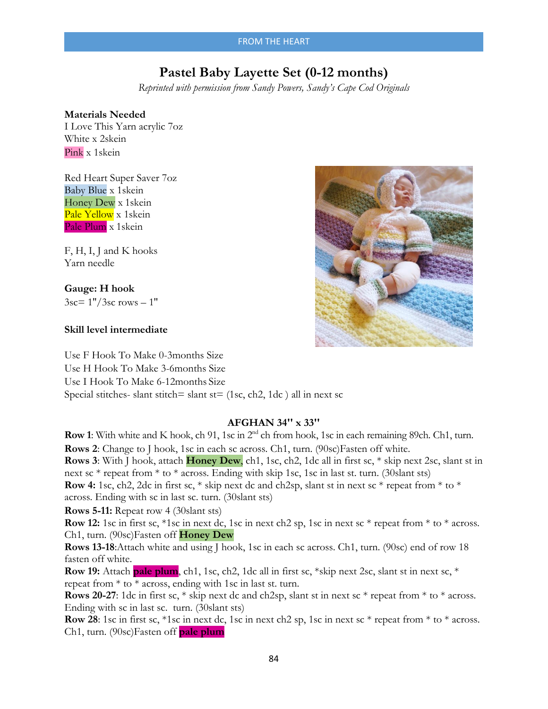# **Pastel Baby Layette Set (0-12 months)**

*Reprinted with permission from Sandy Powers, Sandy's Cape Cod Originals*

#### **Materials Needed**

I Love This Yarn acrylic 7oz White x 2skein Pink x 1skein

Red Heart Super Saver 7oz Baby Blue x 1skein Honey Dew x 1skein Pale Yellow x 1skein Pale Plum x 1skein

F, H, I, J and K hooks Yarn needle

#### **Gauge: H hook**

 $3sc = 1''/3sc$  rows  $-1''$ 

#### **Skill level intermediate**

Use F Hook To Make 0-3months Size Use H Hook To Make 3-6months Size Use I Hook To Make 6-12months Size Special stitches- slant stitch= slant st=  $(1sc, ch2, 1dc)$  all in next sc

## **AFGHAN 34'' x 33''**

**Row 1**: With white and K hook, ch 91, 1sc in 2nd ch from hook, 1sc in each remaining 89ch. Ch1, turn. **Rows 2**: Change to J hook, 1sc in each sc across. Ch1, turn. (90sc)Fasten off white. **Rows 3**: With J hook, attach **Honey Dew**, ch1, 1sc, ch2, 1dc all in first sc, \* skip next 2sc, slant st in next sc \* repeat from \* to \* across. Ending with skip 1sc, 1sc in last st. turn. (30slant sts) **Row 4:** 1sc, ch2, 2dc in first sc, \* skip next dc and ch2sp, slant st in next sc \* repeat from \* to \* across. Ending with sc in last sc. turn. (30slant sts)

**Rows 5-11:** Repeat row 4 (30slant sts)

**Row 12:** 1sc in first sc, \*1sc in next dc, 1sc in next ch2 sp, 1sc in next sc \* repeat from \* to \* across. Ch1, turn. (90sc)Fasten off **Honey Dew** 

**Rows 13-18**:Attach white and using J hook, 1sc in each sc across. Ch1, turn. (90sc) end of row 18 fasten off white.

**Row 19:** Attach **pale plum**, ch1, 1sc, ch2, 1dc all in first sc, \*skip next 2sc, slant st in next sc, \* repeat from \* to \* across, ending with 1sc in last st. turn.

**Rows 20-27**: 1dc in first sc, \* skip next dc and ch2sp, slant st in next sc \* repeat from \* to \* across. Ending with sc in last sc. turn. (30slant sts)

**Row 28**: 1sc in first sc, \*1sc in next dc, 1sc in next ch2 sp, 1sc in next sc \* repeat from \* to \* across. Ch1, turn. (90sc)Fasten off **pale plum** 

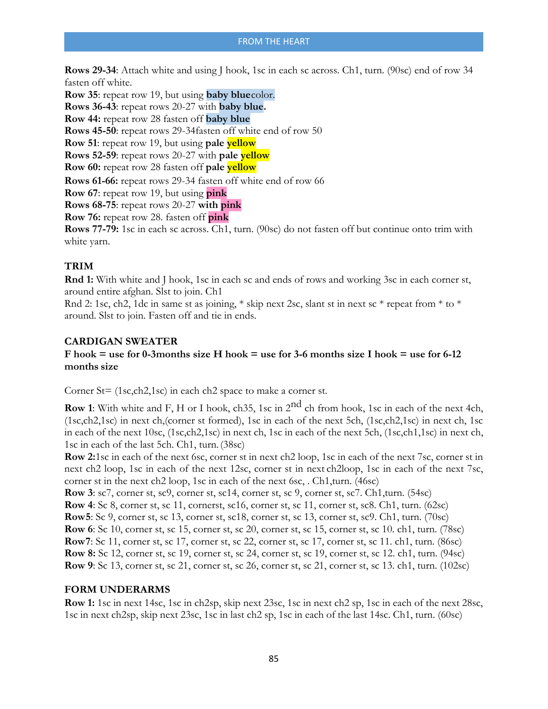**Rows 29-34**: Attach white and using J hook, 1sc in each sc across. Ch1, turn. (90sc) end of row 34 fasten off white.

**Row 35**: repeat row 19, but using **baby blue**color. **Rows 36-43**: repeat rows 20-27 with **baby blue. Row 44:** repeat row 28 fasten off **baby blue Rows 45-50**: repeat rows 29-34fasten off white end of row 50 **Row 51**: repeat row 19, but using **pale yellow Rows 52-59**: repeat rows 20-27 with **pale yellow Row 60:** repeat row 28 fasten off **pale yellow Rows 61-66:** repeat rows 29-34 fasten off white end of row 66 **Row 67**: repeat row 19, but using **pink Rows 68-75**: repeat rows 20-27 **with pink Row 76:** repeat row 28. fasten off **pink Rows 77-79:** 1sc in each sc across. Ch1, turn. (90sc) do not fasten off but continue onto trim with white yarn.

# **TRIM**

**Rnd 1:** With white and J hook, 1sc in each sc and ends of rows and working 3sc in each corner st, around entire afghan. Slst to join. Ch1

Rnd 2: 1sc, ch2, 1dc in same st as joining, \* skip next 2sc, slant st in next sc \* repeat from \* to \* around. Slst to join. Fasten off and tie in ends.

# **CARDIGAN SWEATER**

# **F hook = use for 0-3months size H hook = use for 3-6 months size I hook = use for 6-12 months size**

Corner St= (1sc,ch2,1sc) in each ch2 space to make a corner st.

**Row 1**: With white and F, H or I hook, ch35, 1sc in 2<sup>nd</sup> ch from hook, 1sc in each of the next 4ch, (1sc,ch2,1sc) in next ch,(corner st formed), 1sc in each of the next 5ch, (1sc,ch2,1sc) in next ch, 1sc in each of the next 10sc, (1sc,ch2,1sc) in next ch, 1sc in each of the next 5ch, (1sc,ch1,1sc) in next ch, 1sc in each of the last 5ch. Ch1, turn. (38sc)

**Row 2:** 1sc in each of the next 6sc, corner st in next ch2 loop, 1sc in each of the next 7sc, corner st in next ch2 loop, 1sc in each of the next 12sc, corner st in next ch2loop, 1sc in each of the next 7sc, corner st in the next ch2 loop, 1sc in each of the next 6sc, . Ch1,turn. (46sc)

**Row 3**: sc7, corner st, sc9, corner st, sc14, corner st, sc 9, corner st, sc7. Ch1,turn. (54sc)

**Row 4**: Sc 8, corner st, sc 11, cornerst, sc16, corner st, sc 11, corner st, sc8. Ch1, turn. (62sc)

**Row 5**: Sc 9, corner st, sc 13, corner st, sc18, corner st, sc 13, corner st, sc9. Ch1, turn. (70sc)

**Row 6**: Sc 10, corner st, sc 15, corner st, sc 20, corner st, sc 15, corner st, sc 10. ch1, turn. (78sc)

**Row 7**: Sc 11, corner st, sc 17, corner st, sc 22, corner st, sc 17, corner st, sc 11. ch1, turn. (86sc)

**Row 8:** Sc 12, corner st, sc 19, corner st, sc 24, corner st, sc 19, corner st, sc 12. ch1, turn. (94sc)

**Row 9**: Sc 13, corner st, sc 21, corner st, sc 26, corner st, sc 21, corner st, sc 13. ch1, turn. (102sc)

## **FORM UNDERARMS**

**Row 1:** 1sc in next 14sc, 1sc in ch2sp, skip next 23sc, 1sc in next ch2 sp, 1sc in each of the next 28sc, 1sc in next ch2sp, skip next 23sc, 1sc in last ch2 sp, 1sc in each of the last 14sc. Ch1, turn. (60sc)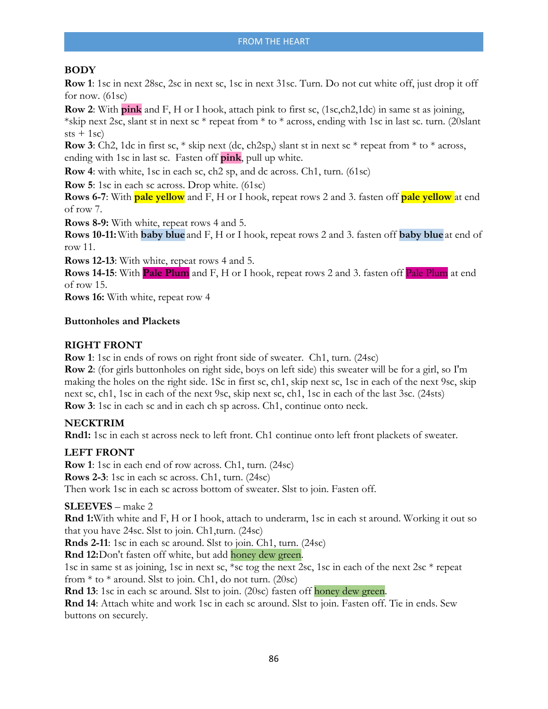## **BODY**

**Row 1**: 1sc in next 28sc, 2sc in next sc, 1sc in next 31sc. Turn. Do not cut white off, just drop it off for now.  $(61sc)$ 

**Row 2**: With **pink** and F, H or I hook, attach pink to first sc, (1sc,ch2,1dc) in same st as joining,

\*skip next 2sc, slant st in next sc \* repeat from \* to \* across, ending with 1sc in last sc. turn. (20slant  $sts + 1sc)$ 

**Row 3**: Ch2, 1dc in first sc,  $*$  skip next (dc, ch2sp,) slant st in next sc  $*$  repeat from  $*$  to  $*$  across, ending with 1sc in last sc. Fasten off **pink**, pull up white.

**Row 4**: with white, 1sc in each sc, ch2 sp, and dc across. Ch1, turn. (61sc)

**Row 5**: 1sc in each sc across. Drop white. (61sc)

**Rows 6-7**: With **pale yellow** and F, H or I hook, repeat rows 2 and 3. fasten off **pale yellow** at end of row 7.

**Rows 8-9:** With white, repeat rows 4 and 5.

**Rows 10-11:**With **baby blue** and F, H or I hook, repeat rows 2 and 3. fasten off **baby blue** at end of row 11.

**Rows 12-13**: With white, repeat rows 4 and 5.

**Rows 14-15**: With **Pale Plum** and F, H or I hook, repeat rows 2 and 3. fasten off Pale Plum at end of row 15.

**Rows 16:** With white, repeat row 4

#### **Buttonholes and Plackets**

## **RIGHT FRONT**

**Row 1**: 1sc in ends of rows on right front side of sweater. Ch1, turn. (24sc)

**Row 2**: (for girls buttonholes on right side, boys on left side) this sweater will be for a girl, so I'm making the holes on the right side. 1Sc in first sc, ch1, skip next sc, 1sc in each of the next 9sc, skip next sc, ch1, 1sc in each of the next 9sc, skip next sc, ch1, 1sc in each of the last 3sc. (24sts) **Row 3**: 1sc in each sc and in each ch sp across. Ch1, continue onto neck.

## **NECKTRIM**

**Rnd1:** 1sc in each st across neck to left front. Ch1 continue onto left front plackets of sweater.

#### **LEFT FRONT**

**Row 1**: 1sc in each end of row across. Ch1, turn. (24sc) **Rows 2-3**: 1sc in each sc across. Ch1, turn. (24sc) Then work 1sc in each sc across bottom of sweater. Slst to join. Fasten off.

#### **SLEEVES** – make 2

**Rnd 1:** With white and F, H or I hook, attach to underarm, 1sc in each st around. Working it out so that you have 24sc. Slst to join. Ch1,turn. (24sc)

**Rnds 2-11**: 1sc in each sc around. Slst to join. Ch1, turn. (24sc)

**Rnd 12:**Don't fasten off white, but add honey dew green.

1sc in same st as joining, 1sc in next sc, \*sc tog the next 2sc, 1sc in each of the next 2sc \* repeat from  $*$  to  $*$  around. Slst to join. Ch1, do not turn. (20sc)

**Rnd 13**: 1sc in each sc around. Slst to join. (20sc) fasten off honey dew green.

**Rnd 14**: Attach white and work 1sc in each sc around. Slst to join. Fasten off. Tie in ends. Sew buttons on securely.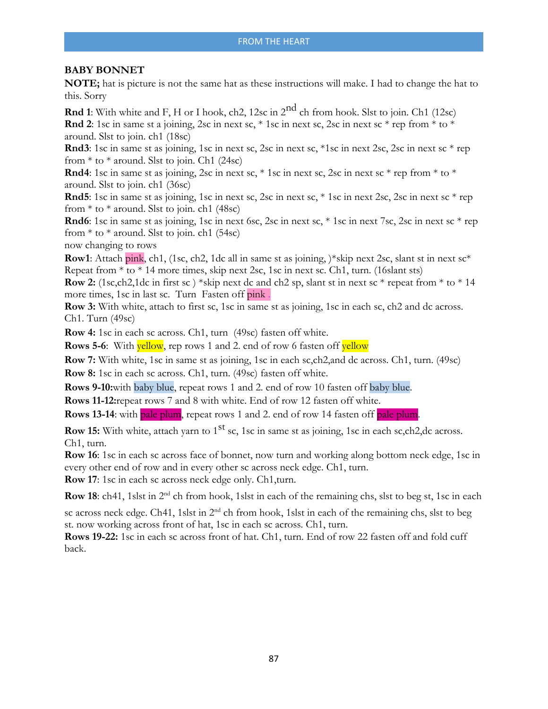#### **BABY BONNET**

**NOTE;** hat is picture is not the same hat as these instructions will make. I had to change the hat to this. Sorry

**Rnd 1**: With white and F, H or I hook, ch2, 12sc in 2<sup>nd</sup> ch from hook. Slst to join. Ch1 (12sc) **Rnd 2**: 1sc in same st a joining, 2sc in next sc,  $*$  1sc in next sc, 2sc in next sc  $*$  rep from  $*$  to  $*$ around. Slst to join. ch1 (18sc)

**Rnd 3**: 1sc in same st as joining, 1sc in next sc, 2sc in next sc, \*1sc in next 2sc, 2sc in next sc \* rep from  $*$  to  $*$  around. Slst to join. Ch1 (24sc)

**Rnd4**: 1sc in same st as joining, 2sc in next sc,  $*$  1sc in next sc, 2sc in next sc  $*$  rep from  $*$  to  $*$ around. Slst to join. ch1 (36sc)

**Rnd 5**: 1sc in same st as joining, 1sc in next sc, 2sc in next sc, \* 1sc in next 2sc, 2sc in next sc \* rep from  $*$  to  $*$  around. Slst to join. ch1 (48sc)

**Rnd6**: 1sc in same st as joining, 1sc in next 6sc, 2sc in next sc, \* 1sc in next 7sc, 2sc in next sc \* rep from  $*$  to  $*$  around. Slst to join. ch1 (54sc)

now changing to rows

**Row1**: Attach pink, ch1, (1sc, ch2, 1dc all in same st as joining, )\*skip next 2sc, slant st in next  $sc^*$ Repeat from \* to \* 14 more times, skip next 2sc, 1sc in next sc. Ch1, turn. (16slant sts)

**Row 2:** (1sc,ch2,1dc in first sc ) \*skip next dc and ch2 sp, slant st in next sc \* repeat from \* to \* 14 more times, 1sc in last sc. Turn Fasten off pink .

**Row 3:** With white, attach to first sc, 1sc in same st as joining, 1sc in each sc, ch2 and dc across. Ch1. Turn (49sc)

**Row 4:** 1sc in each sc across. Ch1, turn (49sc) fasten off white.

**Rows 5-6:** With yellow, rep rows 1 and 2. end of row 6 fasten off yellow

**Row 7:** With white, 1sc in same st as joining, 1sc in each sc,ch2,and dc across. Ch1, turn. (49sc) **Row 8:** 1sc in each sc across. Ch1, turn. (49sc) fasten off white.

**Rows 9-10:**with baby blue, repeat rows 1 and 2. end of row 10 fasten off baby blue.

**Rows 11-12:** repeat rows 7 and 8 with white. End of row 12 fasten off white.

**Rows 13-14:** with pale plum, repeat rows 1 and 2. end of row 14 fasten off pale plum.

**Row 15:** With white, attach yarn to 1<sup>st</sup> sc, 1sc in same st as joining, 1sc in each sc,ch2,dc across. Ch1, turn.

**Row 16**: 1sc in each sc across face of bonnet, now turn and working along bottom neck edge, 1sc in every other end of row and in every other sc across neck edge. Ch1, turn.

**Row 17**: 1sc in each sc across neck edge only. Ch1,turn.

**Row 18**: ch41, 1slst in 2<sup>nd</sup> ch from hook, 1slst in each of the remaining chs, slst to beg st, 1sc in each

sc across neck edge. Ch41, 1slst in 2<sup>nd</sup> ch from hook, 1slst in each of the remaining chs, slst to beg st. now working across front of hat, 1sc in each sc across. Ch1, turn.

**Rows 19-22:** 1sc in each sc across front of hat. Ch1, turn. End of row 22 fasten off and fold cuff back.